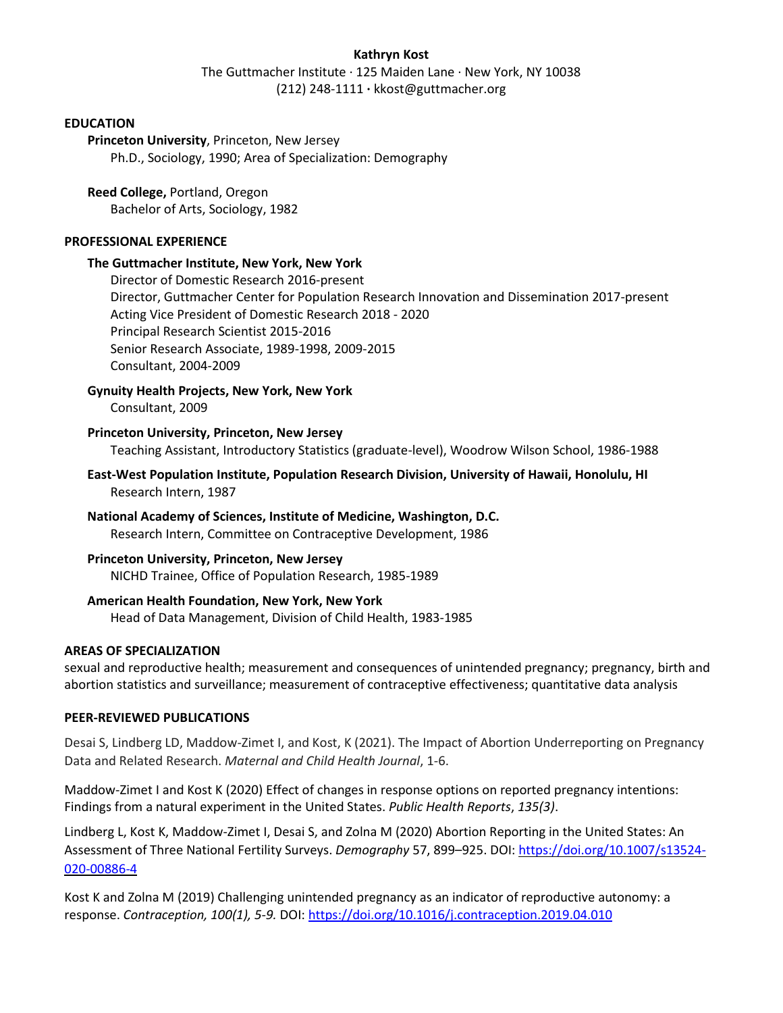## **Kathryn Kost**

The Guttmacher Institute · 125 Maiden Lane · New York, NY 10038 (212) 248-1111 **·** kkost@guttmacher.org

## **EDUCATION**

**Princeton University**, Princeton, New Jersey Ph.D., Sociology, 1990; Area of Specialization: Demography

**Reed College,** Portland, Oregon Bachelor of Arts, Sociology, 1982

### **PROFESSIONAL EXPERIENCE**

### **The Guttmacher Institute, New York, New York**

Director of Domestic Research 2016-present Director, Guttmacher Center for Population Research Innovation and Dissemination 2017-present Acting Vice President of Domestic Research 2018 - 2020 Principal Research Scientist 2015-2016 Senior Research Associate, 1989-1998, 2009-2015 Consultant, 2004-2009

## **Gynuity Health Projects, New York, New York**

Consultant, 2009

### **Princeton University, Princeton, New Jersey**

Teaching Assistant, Introductory Statistics (graduate-level), Woodrow Wilson School, 1986-1988

- **East-West Population Institute, Population Research Division, University of Hawaii, Honolulu, HI**  Research Intern, 1987
- **National Academy of Sciences, Institute of Medicine, Washington, D.C.**  Research Intern, Committee on Contraceptive Development, 1986

## **Princeton University, Princeton, New Jersey** NICHD Trainee, Office of Population Research, 1985-1989

## **American Health Foundation, New York, New York**

Head of Data Management, Division of Child Health, 1983-1985

## **AREAS OF SPECIALIZATION**

sexual and reproductive health; measurement and consequences of unintended pregnancy; pregnancy, birth and abortion statistics and surveillance; measurement of contraceptive effectiveness; quantitative data analysis

### **PEER-REVIEWED PUBLICATIONS**

Desai S, Lindberg LD, Maddow-Zimet I, and Kost, K (2021). The Impact of Abortion Underreporting on Pregnancy Data and Related Research. *Maternal and Child Health Journal*, 1-6.

Maddow-Zimet I and Kost K (2020) Effect of changes in response options on reported pregnancy intentions: Findings from a natural experiment in the United States. *Public Health Reports*, *135(3)*.

Lindberg L, Kost K, Maddow-Zimet I, Desai S, and Zolna M (2020) Abortion Reporting in the United States: An Assessment of Three National Fertility Surveys. *Demography* 57, 899–925. DOI: [https://doi.org/10.1007/s13524-](https://doi.org/10.1007/s13524-020-00886-4) [020-00886-4](https://doi.org/10.1007/s13524-020-00886-4)

Kost K and Zolna M (2019) Challenging unintended pregnancy as an indicator of reproductive autonomy: a response. *Contraception, 100(1), 5-9.* DOI:<https://doi.org/10.1016/j.contraception.2019.04.010>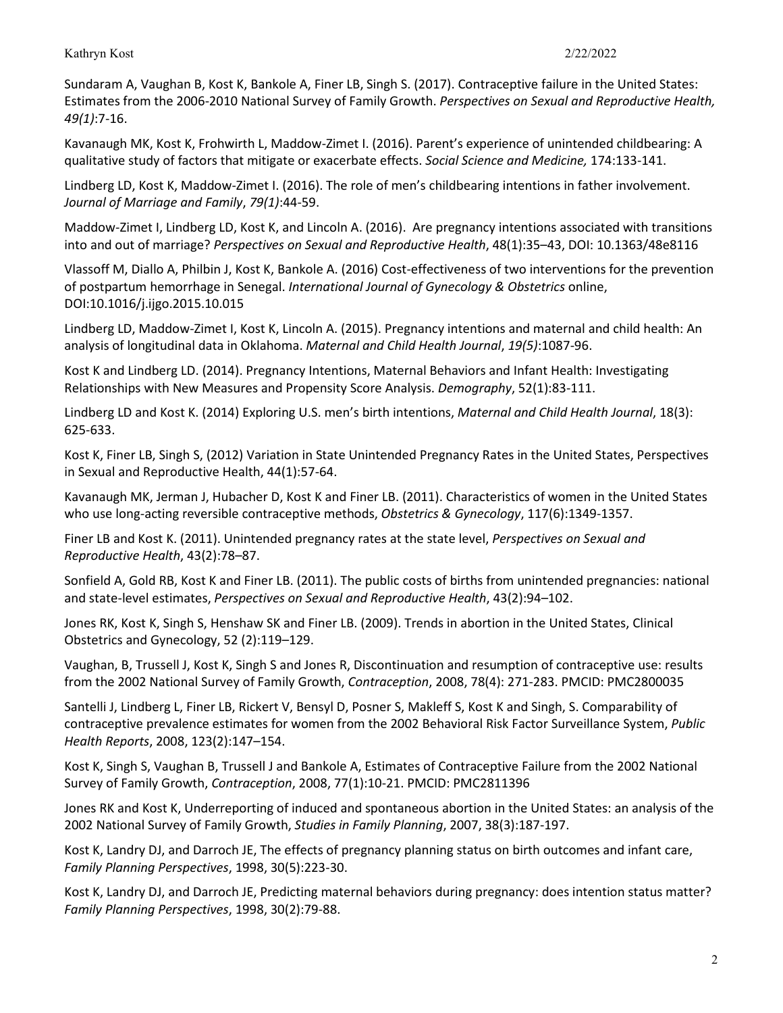Sundaram A, Vaughan B, Kost K, Bankole A, Finer LB, Singh S. (2017). Contraceptive failure in the United States: Estimates from the 2006-2010 National Survey of Family Growth. *Perspectives on Sexual and Reproductive Health, 49(1)*:7-16.

Kavanaugh MK, Kost K, Frohwirth L, Maddow-Zimet I. (2016). Parent's experience of unintended childbearing: A qualitative study of factors that mitigate or exacerbate effects. *Social Science and Medicine,* 174:133-141.

Lindberg LD, Kost K, Maddow-Zimet I. (2016). The role of men's childbearing intentions in father involvement. *Journal of Marriage and Family*, *79(1)*:44-59.

Maddow-Zimet I, Lindberg LD, Kost K, and Lincoln A. (2016).Are pregnancy intentions associated with transitions into and out of marriage? *Perspectives on Sexual and Reproductive Health*, 48(1):35–43, DOI: 10.1363/48e8116

Vlassoff M, Diallo A, Philbin J, Kost K, Bankole A. (2016) Cost-effectiveness of two interventions for the prevention of postpartum hemorrhage in Senegal. *International Journal of Gynecology & Obstetrics* online, DOI:10.1016/j.ijgo.2015.10.015

Lindberg LD, Maddow-Zimet I, Kost K, Lincoln A. (2015). Pregnancy intentions and maternal and child health: An analysis of longitudinal data in Oklahoma. *Maternal and Child Health Journal*, *19(5)*:1087-96.

Kost K and Lindberg LD. (2014). Pregnancy Intentions, Maternal Behaviors and Infant Health: Investigating Relationships with New Measures and Propensity Score Analysis. *Demography*, 52(1):83-111.

Lindberg LD and Kost K. (2014) Exploring U.S. men's birth intentions, *Maternal and Child Health Journal*, 18(3): 625-633.

Kost K, Finer LB, Singh S, (2012) Variation in State Unintended Pregnancy Rates in the United States, Perspectives in Sexual and Reproductive Health, 44(1):57-64.

Kavanaugh MK, Jerman J, Hubacher D, Kost K and Finer LB. (2011). Characteristics of women in the United States who use long-acting reversible contraceptive methods, *Obstetrics & Gynecology*, 117(6):1349-1357.

Finer LB and Kost K. (2011). Unintended pregnancy rates at the state level, *Perspectives on Sexual and Reproductive Health*, 43(2):78–87.

Sonfield A, Gold RB, Kost K and Finer LB. (2011). The public costs of births from unintended pregnancies: national and state-level estimates, *Perspectives on Sexual and Reproductive Health*, 43(2):94–102.

Jones RK, Kost K, Singh S, Henshaw SK and Finer LB. (2009). Trends in abortion in the United States, Clinical Obstetrics and Gynecology, 52 (2):119–129.

Vaughan, B, Trussell J, Kost K, Singh S and Jones R, Discontinuation and resumption of contraceptive use: results from the 2002 National Survey of Family Growth, *Contraception*, 2008, 78(4): 271-283. PMCID: PMC2800035

Santelli J, Lindberg L, Finer LB, Rickert V, Bensyl D, Posner S, Makleff S, Kost K and Singh, S. Comparability of contraceptive prevalence estimates for women from the 2002 Behavioral Risk Factor Surveillance System, *Public Health Reports*, 2008, 123(2):147–154.

Kost K, Singh S, Vaughan B, Trussell J and Bankole A, Estimates of Contraceptive Failure from the 2002 National Survey of Family Growth, *Contraception*, 2008, 77(1):10-21. PMCID: PMC2811396

Jones RK and Kost K, Underreporting of induced and spontaneous abortion in the United States: an analysis of the 2002 National Survey of Family Growth, *Studies in Family Planning*, 2007, 38(3):187-197.

Kost K, Landry DJ, and Darroch JE, The effects of pregnancy planning status on birth outcomes and infant care, *Family Planning Perspectives*, 1998, 30(5):223-30.

Kost K, Landry DJ, and Darroch JE, Predicting maternal behaviors during pregnancy: does intention status matter? *Family Planning Perspectives*, 1998, 30(2):79-88.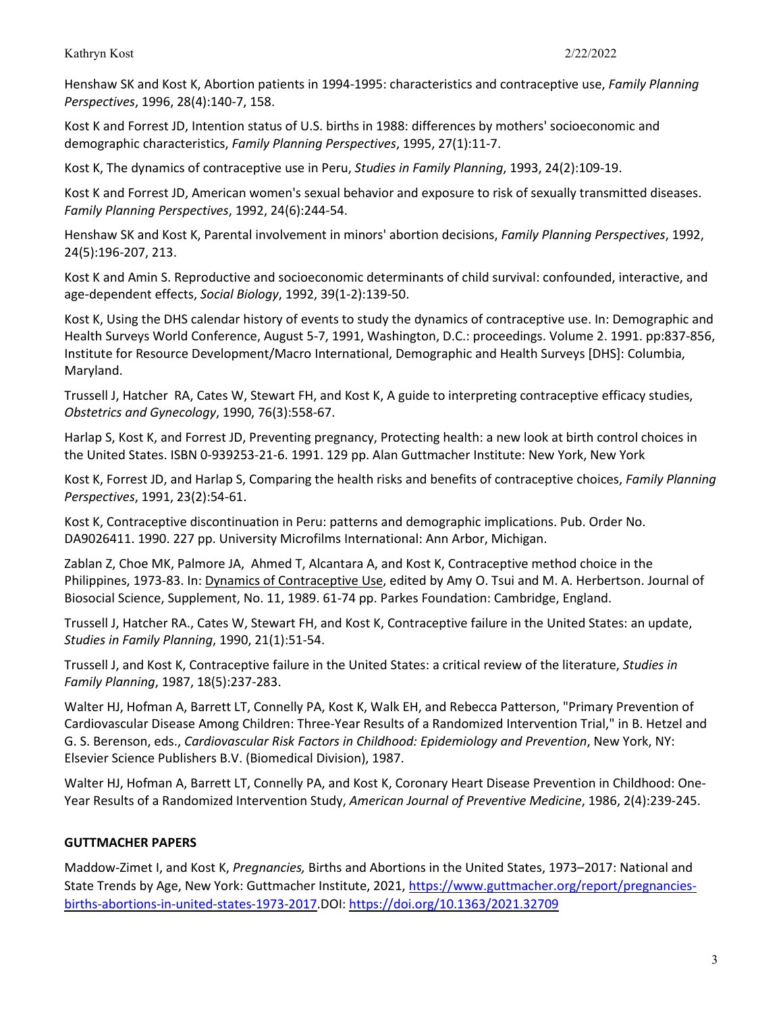Henshaw SK and Kost K, Abortion patients in 1994-1995: characteristics and contraceptive use, *Family Planning Perspectives*, 1996, 28(4):140-7, 158.

Kost K and Forrest JD, Intention status of U.S. births in 1988: differences by mothers' socioeconomic and demographic characteristics, *Family Planning Perspectives*, 1995, 27(1):11-7.

Kost K, The dynamics of contraceptive use in Peru, *Studies in Family Planning*, 1993, 24(2):109-19.

Kost K and Forrest JD, American women's sexual behavior and exposure to risk of sexually transmitted diseases. *Family Planning Perspectives*, 1992, 24(6):244-54.

Henshaw SK and Kost K, Parental involvement in minors' abortion decisions, *Family Planning Perspectives*, 1992, 24(5):196-207, 213.

Kost K and Amin S. Reproductive and socioeconomic determinants of child survival: confounded, interactive, and age-dependent effects, *Social Biology*, 1992, 39(1-2):139-50.

Kost K, Using the DHS calendar history of events to study the dynamics of contraceptive use. In: Demographic and Health Surveys World Conference, August 5-7, 1991, Washington, D.C.: proceedings. Volume 2. 1991. pp:837-856, Institute for Resource Development/Macro International, Demographic and Health Surveys [DHS]: Columbia, Maryland.

Trussell J, Hatcher RA, Cates W, Stewart FH, and Kost K, A guide to interpreting contraceptive efficacy studies, *Obstetrics and Gynecology*, 1990, 76(3):558-67.

Harlap S, Kost K, and Forrest JD, Preventing pregnancy, Protecting health: a new look at birth control choices in the United States. ISBN 0-939253-21-6. 1991. 129 pp. Alan Guttmacher Institute: New York, New York

Kost K, Forrest JD, and Harlap S, Comparing the health risks and benefits of contraceptive choices, *Family Planning Perspectives*, 1991, 23(2):54-61.

Kost K, Contraceptive discontinuation in Peru: patterns and demographic implications. Pub. Order No. DA9026411. 1990. 227 pp. University Microfilms International: Ann Arbor, Michigan.

Zablan Z, Choe MK, Palmore JA, Ahmed T, Alcantara A, and Kost K, Contraceptive method choice in the Philippines, 1973-83. In: Dynamics of Contraceptive Use, edited by Amy O. Tsui and M. A. Herbertson. Journal of Biosocial Science, Supplement, No. 11, 1989. 61-74 pp. Parkes Foundation: Cambridge, England.

Trussell J, Hatcher RA., Cates W, Stewart FH, and Kost K, Contraceptive failure in the United States: an update, *Studies in Family Planning*, 1990, 21(1):51-54.

Trussell J, and Kost K, Contraceptive failure in the United States: a critical review of the literature, *Studies in Family Planning*, 1987, 18(5):237-283.

Walter HJ, Hofman A, Barrett LT, Connelly PA, Kost K, Walk EH, and Rebecca Patterson, "Primary Prevention of Cardiovascular Disease Among Children: Three-Year Results of a Randomized Intervention Trial," in B. Hetzel and G. S. Berenson, eds., *Cardiovascular Risk Factors in Childhood: Epidemiology and Prevention*, New York, NY: Elsevier Science Publishers B.V. (Biomedical Division), 1987.

Walter HJ, Hofman A, Barrett LT, Connelly PA, and Kost K, Coronary Heart Disease Prevention in Childhood: One-Year Results of a Randomized Intervention Study, *American Journal of Preventive Medicine*, 1986, 2(4):239-245.

# **GUTTMACHER PAPERS**

Maddow-Zimet I, and Kost K, *Pregnancies,* Births and Abortions in the United States, 1973–2017: National and State Trends by Age, New York: Guttmacher Institute, 2021, [https://www.guttmacher.org/report/pregnancies](https://www.guttmacher.org/report/pregnancies-births-abortions-in-united-states-1973-2017)[births-abortions-in-united-states-1973-2017.](https://www.guttmacher.org/report/pregnancies-births-abortions-in-united-states-1973-2017)DOI: <https://doi.org/10.1363/2021.32709>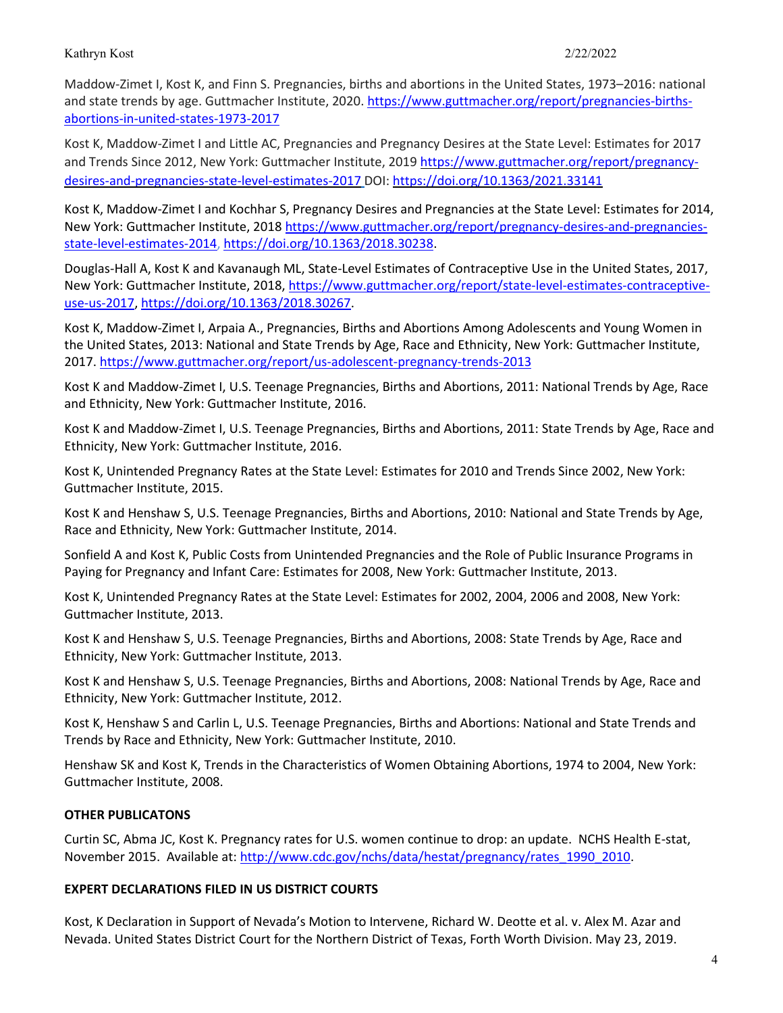Maddow-Zimet I, Kost K, and Finn S. Pregnancies, births and abortions in the United States, 1973–2016: national and state trends by age. Guttmacher Institute, 2020. [https://www.guttmacher.org/report/pregnancies-births](https://www.guttmacher.org/report/pregnancies-births-abortions-in-united-states-1973-2017)[abortions-in-united-states-1973-2017](https://www.guttmacher.org/report/pregnancies-births-abortions-in-united-states-1973-2017)

Kost K, Maddow-Zimet I and Little AC, Pregnancies and Pregnancy Desires at the State Level: Estimates for 2017 and Trends Since 2012, New York: Guttmacher Institute, 2019 [https://www.guttmacher.org/report/pregnancy](https://www.guttmacher.org/report/pregnancy-desires-and-pregnancies-state-level-estimates-2017)[desires-and-pregnancies-state-level-estimates-2017](https://www.guttmacher.org/report/pregnancy-desires-and-pregnancies-state-level-estimates-2017) DOI: <https://doi.org/10.1363/2021.33141>

Kost K, Maddow-Zimet I and Kochhar S, Pregnancy Desires and Pregnancies at the State Level: Estimates for 2014, New York: Guttmacher Institute, 2018 [https://www.guttmacher.org/report/pregnancy-desires-and-pregnancies](https://www.guttmacher.org/report/pregnancy-desires-and-pregnancies-state-level-estimates-2014)[state-level-estimates-2014,](https://www.guttmacher.org/report/pregnancy-desires-and-pregnancies-state-level-estimates-2014) [https://doi.org/10.1363/2018.30238.](https://doi.org/10.1363/2018.30238)

Douglas-Hall A, Kost K and Kavanaugh ML, State-Level Estimates of Contraceptive Use in the United States, 2017, New York: Guttmacher Institute, 2018[, https://www.guttmacher.org/report/state-level-estimates-contraceptive](https://www.guttmacher.org/report/state-level-estimates-contraceptive-use-us-2017)[use-us-2017,](https://www.guttmacher.org/report/state-level-estimates-contraceptive-use-us-2017) [https://doi.org/10.1363/2018.30267.](https://doi.org/10.1363/2018.30267)

Kost K, Maddow-Zimet I, Arpaia A., [Pregnancies, Births and Abortions Among Adolescents and Young Women in](http://www.guttmacher.org/pubs/USTPtrends10.pdf)  [the United States, 2013: National and State Trends by Age, Race and Ethnicity,](http://www.guttmacher.org/pubs/USTPtrends10.pdf) New York: Guttmacher Institute, 2017. <https://www.guttmacher.org/report/us-adolescent-pregnancy-trends-2013>

Kost K and Maddow-Zimet I, [U.S. Teenage Pregnancies, Births and Abortions, 2011: National Trends by Age, Race](http://www.guttmacher.org/pubs/USTPtrends10.pdf)  [and Ethnicity,](http://www.guttmacher.org/pubs/USTPtrends10.pdf) New York: Guttmacher Institute, 2016.

Kost K and Maddow-Zimet I, [U.S. Teenage Pregnancies, Births and Abortions, 2011: State Trends by Age, Race and](http://www.guttmacher.org/pubs/USTPtrends10.pdf)  [Ethnicity,](http://www.guttmacher.org/pubs/USTPtrends10.pdf) New York: Guttmacher Institute, 2016.

Kost K[, Unintended Pregnancy Rates at the State Level: Estimates for 2010 and Trends Since 2002,](http://www.guttmacher.org/pubs/StateUP10.pdf) New York: Guttmacher Institute, 2015.

Kost K and Henshaw S, [U.S. Teenage Pregnancies, Births and Abortions, 2010: National and State Trends by Age,](http://www.guttmacher.org/pubs/USTPtrends10.pdf)  [Race and Ethnicity,](http://www.guttmacher.org/pubs/USTPtrends10.pdf) New York: Guttmacher Institute, 2014.

Sonfield A and Kost K, [Public Costs from Unintended Pregnancies and the Role of Public Insurance Programs in](http://www.guttmacher.org/pubs/public-costs-of-UP.pdf)  [Paying for Pregnancy and Infant Care: Estimates for 2008,](http://www.guttmacher.org/pubs/public-costs-of-UP.pdf) New York: Guttmacher Institute, 2013.

Kost K[, Unintended Pregnancy Rates at the State Level: Estimates for 2002, 2004, 2006 and 2008,](http://www.guttmacher.org/pubs/StateUP08.pdf) New York: Guttmacher Institute, 2013.

Kost K and Henshaw S, [U.S. Teenage Pregnancies, Births and Abortions, 2008: State Trends by Age, Race and](http://www.guttmacher.org/pubs/USTPtrendsState08.pdf)  [Ethnicity,](http://www.guttmacher.org/pubs/USTPtrendsState08.pdf) New York: Guttmacher Institute, 2013.

Kost K and Henshaw S, [U.S. Teenage Pregnancies, Births and Abortions, 2008: National Trends by Age, Race and](http://www.guttmacher.org/pubs/USTPtrends08.pdf)  [Ethnicity,](http://www.guttmacher.org/pubs/USTPtrends08.pdf) New York: Guttmacher Institute, 2012.

Kost K, Henshaw S and Carlin L, [U.S. Teenage Pregnancies, Births and Abortions: National and State Trends and](http://www.guttmacher.org/pubs/USTPtrends.pdf)  [Trends by Race and Ethnicity,](http://www.guttmacher.org/pubs/USTPtrends.pdf) New York: Guttmacher Institute, 2010.

Henshaw SK and Kost K[, Trends in the Characteristics of Women Obtaining Abortions, 1974 to 2004,](http://www.guttmacher.org/pubs/2008/09/23/TrendsWomenAbortions-wTables.pdf) New York: Guttmacher Institute, 2008.

# **OTHER PUBLICATONS**

Curtin SC, Abma JC, Kost K. Pregnancy rates for U.S. women continue to drop: an update. NCHS Health E-stat, November 2015. Available at[: http://www.cdc.gov/nchs/data/hestat/pregnancy/rates\\_1990\\_2010.](http://www.cdc.gov/nchs/data/hestat/pregnancy/rates_1990_2010)

## **EXPERT DECLARATIONS FILED IN US DISTRICT COURTS**

Kost, K Declaration in Support of Nevada's Motion to Intervene, Richard W. Deotte et al. v. Alex M. Azar and Nevada. United States District Court for the Northern District of Texas, Forth Worth Division. May 23, 2019.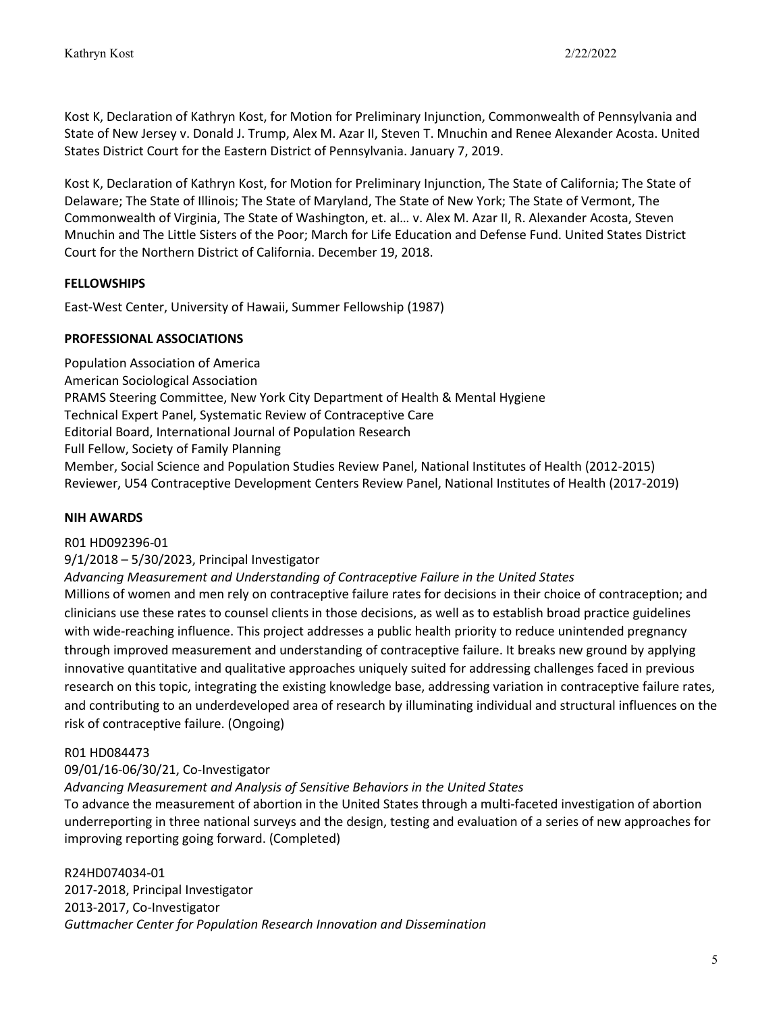Kost K, Declaration of Kathryn Kost, for Motion for Preliminary Injunction, Commonwealth of Pennsylvania and State of New Jersey v. Donald J. Trump, Alex M. Azar II, Steven T. Mnuchin and Renee Alexander Acosta. United States District Court for the Eastern District of Pennsylvania. January 7, 2019.

Kost K, Declaration of Kathryn Kost, for Motion for Preliminary Injunction, The State of California; The State of Delaware; The State of Illinois; The State of Maryland, The State of New York; The State of Vermont, The Commonwealth of Virginia, The State of Washington, et. al… v. Alex M. Azar II, R. Alexander Acosta, Steven Mnuchin and The Little Sisters of the Poor; March for Life Education and Defense Fund. United States District Court for the Northern District of California. December 19, 2018.

# **FELLOWSHIPS**

East-West Center, University of Hawaii, Summer Fellowship (1987)

# **PROFESSIONAL ASSOCIATIONS**

Population Association of America American Sociological Association PRAMS Steering Committee, New York City Department of Health & Mental Hygiene Technical Expert Panel, Systematic Review of Contraceptive Care Editorial Board, International Journal of Population Research Full Fellow, Society of Family Planning Member, Social Science and Population Studies Review Panel, National Institutes of Health (2012-2015) Reviewer, U54 Contraceptive Development Centers Review Panel, National Institutes of Health (2017-2019)

# **NIH AWARDS**

## R01 HD092396-01

## 9/1/2018 – 5/30/2023, Principal Investigator

*Advancing Measurement and Understanding of Contraceptive Failure in the United States*

Millions of women and men rely on contraceptive failure rates for decisions in their choice of contraception; and clinicians use these rates to counsel clients in those decisions, as well as to establish broad practice guidelines with wide-reaching influence. This project addresses a public health priority to reduce unintended pregnancy through improved measurement and understanding of contraceptive failure. It breaks new ground by applying innovative quantitative and qualitative approaches uniquely suited for addressing challenges faced in previous research on this topic, integrating the existing knowledge base, addressing variation in contraceptive failure rates, and contributing to an underdeveloped area of research by illuminating individual and structural influences on the risk of contraceptive failure. (Ongoing)

# R01 HD084473

# 09/01/16-06/30/21, Co-Investigator

*Advancing Measurement and Analysis of Sensitive Behaviors in the United States*

To advance the measurement of abortion in the United States through a multi-faceted investigation of abortion underreporting in three national surveys and the design, testing and evaluation of a series of new approaches for improving reporting going forward. (Completed)

R24HD074034-01 2017-2018, Principal Investigator 2013-2017, Co-Investigator *Guttmacher Center for Population Research Innovation and Dissemination*